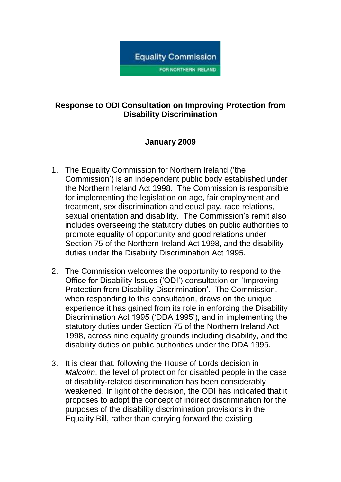

# **Response to ODI Consultation on Improving Protection from Disability Discrimination**

# **January 2009**

- 1. The Equality Commission for Northern Ireland ('the Commission') is an independent public body established under the Northern Ireland Act 1998. The Commission is responsible for implementing the legislation on age, fair employment and treatment, sex discrimination and equal pay, race relations, sexual orientation and disability. The Commission's remit also includes overseeing the statutory duties on public authorities to promote equality of opportunity and good relations under Section 75 of the Northern Ireland Act 1998, and the disability duties under the Disability Discrimination Act 1995.
- 2. The Commission welcomes the opportunity to respond to the Office for Disability Issues ('ODI') consultation on 'Improving Protection from Disability Discrimination'. The Commission, when responding to this consultation, draws on the unique experience it has gained from its role in enforcing the Disability Discrimination Act 1995 ('DDA 1995'), and in implementing the statutory duties under Section 75 of the Northern Ireland Act 1998, across nine equality grounds including disability, and the disability duties on public authorities under the DDA 1995.
- 3. It is clear that, following the House of Lords decision in *Malcolm*, the level of protection for disabled people in the case of disability-related discrimination has been considerably weakened. In light of the decision, the ODI has indicated that it proposes to adopt the concept of indirect discrimination for the purposes of the disability discrimination provisions in the Equality Bill, rather than carrying forward the existing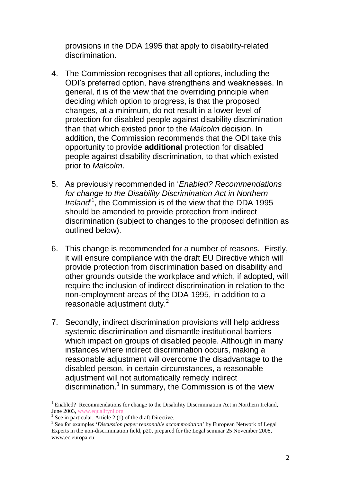provisions in the DDA 1995 that apply to disability-related discrimination.

- 4. The Commission recognises that all options, including the ODI's preferred option, have strengthens and weaknesses. In general, it is of the view that the overriding principle when deciding which option to progress, is that the proposed changes, at a minimum, do not result in a lower level of protection for disabled people against disability discrimination than that which existed prior to the *Malcolm* decision. In addition, the Commission recommends that the ODI take this opportunity to provide **additional** protection for disabled people against disability discrimination, to that which existed prior to *Malcolm*.
- 5. As previously recommended in '*Enabled? Recommendations for change to the Disability Discrimination Act in Northern*  Ireland<sup>1</sup>, the Commission is of the view that the DDA 1995 should be amended to provide protection from indirect discrimination (subject to changes to the proposed definition as outlined below).
- 6. This change is recommended for a number of reasons. Firstly, it will ensure compliance with the draft EU Directive which will provide protection from discrimination based on disability and other grounds outside the workplace and which, if adopted, will require the inclusion of indirect discrimination in relation to the non-employment areas of the DDA 1995, in addition to a reasonable adjustment duty.<sup>2</sup>
- 7. Secondly, indirect discrimination provisions will help address systemic discrimination and dismantle institutional barriers which impact on groups of disabled people. Although in many instances where indirect discrimination occurs, making a reasonable adjustment will overcome the disadvantage to the disabled person, in certain circumstances, a reasonable adjustment will not automatically remedy indirect discrimination.<sup>3</sup> In summary, the Commission is of the view

 $\overline{a}$ 

<sup>&</sup>lt;sup>1</sup> Enabled? Recommendations for change to the Disability Discrimination Act in Northern Ireland, June 2003[, www.equalityni.org](http://www.equalityni.org/)

 $2$  See in particular, Article 2 (1) of the draft Directive.

<sup>3</sup> See for examples '*Discussion paper reasonable accommodation*' by European Network of Legal Experts in the non-discrimination field, p20, prepared for the Legal seminar 25 November 2008, www.ec.europa.eu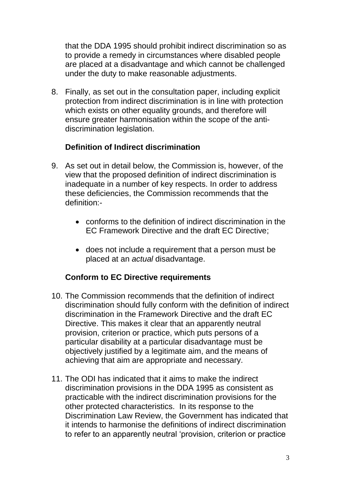that the DDA 1995 should prohibit indirect discrimination so as to provide a remedy in circumstances where disabled people are placed at a disadvantage and which cannot be challenged under the duty to make reasonable adjustments.

8. Finally, as set out in the consultation paper, including explicit protection from indirect discrimination is in line with protection which exists on other equality grounds, and therefore will ensure greater harmonisation within the scope of the antidiscrimination legislation.

# **Definition of Indirect discrimination**

- 9. As set out in detail below, the Commission is, however, of the view that the proposed definition of indirect discrimination is inadequate in a number of key respects. In order to address these deficiencies, the Commission recommends that the definition:
	- conforms to the definition of indirect discrimination in the EC Framework Directive and the draft EC Directive;
	- does not include a requirement that a person must be placed at an *actual* disadvantage.

### **Conform to EC Directive requirements**

- 10. The Commission recommends that the definition of indirect discrimination should fully conform with the definition of indirect discrimination in the Framework Directive and the draft EC Directive. This makes it clear that an apparently neutral provision, criterion or practice, which puts persons of a particular disability at a particular disadvantage must be objectively justified by a legitimate aim, and the means of achieving that aim are appropriate and necessary.
- 11. The ODI has indicated that it aims to make the indirect discrimination provisions in the DDA 1995 as consistent as practicable with the indirect discrimination provisions for the other protected characteristics. In its response to the Discrimination Law Review, the Government has indicated that it intends to harmonise the definitions of indirect discrimination to refer to an apparently neutral 'provision, criterion or practice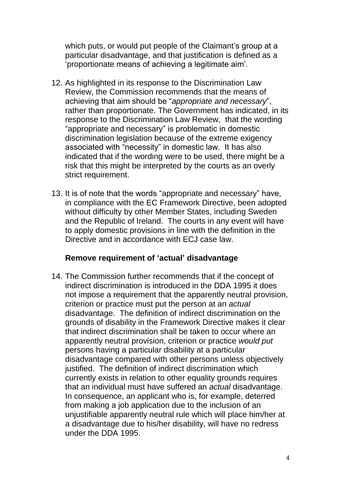which puts, or would put people of the Claimant's group at a particular disadvantage, and that justification is defined as a 'proportionate means of achieving a legitimate aim'.

- 12. As highlighted in its response to the Discrimination Law Review, the Commission recommends that the means of achieving that aim should be "*appropriate and necessary*", rather than proportionate. The Government has indicated, in its response to the Discrimination Law Review, that the wording "appropriate and necessary" is problematic in domestic discrimination legislation because of the extreme exigency associated with "necessity" in domestic law. It has also indicated that if the wording were to be used, there might be a risk that this might be interpreted by the courts as an overly strict requirement.
- 13. It is of note that the words "appropriate and necessary" have, in compliance with the EC Framework Directive, been adopted without difficulty by other Member States, including Sweden and the Republic of Ireland. The courts in any event will have to apply domestic provisions in line with the definition in the Directive and in accordance with ECJ case law.

### **Remove requirement of 'actual' disadvantage**

14. The Commission further recommends that if the concept of indirect discrimination is introduced in the DDA 1995 it does not impose a requirement that the apparently neutral provision, criterion or practice must put the person at an *actual*  disadvantage. The definition of indirect discrimination on the grounds of disability in the Framework Directive makes it clear that indirect discrimination shall be taken to occur where an apparently neutral provision, criterion or practice *would put* persons having a particular disability at a particular disadvantage compared with other persons unless objectively justified. The definition of indirect discrimination which currently exists in relation to other equality grounds requires that an individual must have suffered an *actual* disadvantage. In consequence, an applicant who is, for example, deterred from making a job application due to the inclusion of an unjustifiable apparently neutral rule which will place him/her at a disadvantage due to his/her disability, will have no redress under the DDA 1995.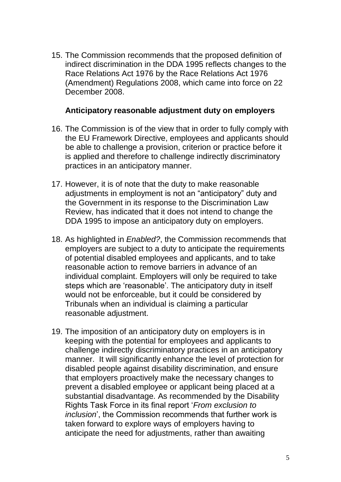15. The Commission recommends that the proposed definition of indirect discrimination in the DDA 1995 reflects changes to the Race Relations Act 1976 by the Race Relations Act 1976 (Amendment) Regulations 2008, which came into force on 22 December 2008.

#### **Anticipatory reasonable adjustment duty on employers**

- 16. The Commission is of the view that in order to fully comply with the EU Framework Directive, employees and applicants should be able to challenge a provision, criterion or practice before it is applied and therefore to challenge indirectly discriminatory practices in an anticipatory manner.
- 17. However, it is of note that the duty to make reasonable adjustments in employment is not an "anticipatory" duty and the Government in its response to the Discrimination Law Review, has indicated that it does not intend to change the DDA 1995 to impose an anticipatory duty on employers.
- 18. As highlighted in *Enabled?*, the Commission recommends that employers are subject to a duty to anticipate the requirements of potential disabled employees and applicants, and to take reasonable action to remove barriers in advance of an individual complaint. Employers will only be required to take steps which are 'reasonable'. The anticipatory duty in itself would not be enforceable, but it could be considered by Tribunals when an individual is claiming a particular reasonable adjustment.
- 19. The imposition of an anticipatory duty on employers is in keeping with the potential for employees and applicants to challenge indirectly discriminatory practices in an anticipatory manner. It will significantly enhance the level of protection for disabled people against disability discrimination, and ensure that employers proactively make the necessary changes to prevent a disabled employee or applicant being placed at a substantial disadvantage. As recommended by the Disability Rights Task Force in its final report '*From exclusion to inclusion*', the Commission recommends that further work is taken forward to explore ways of employers having to anticipate the need for adjustments, rather than awaiting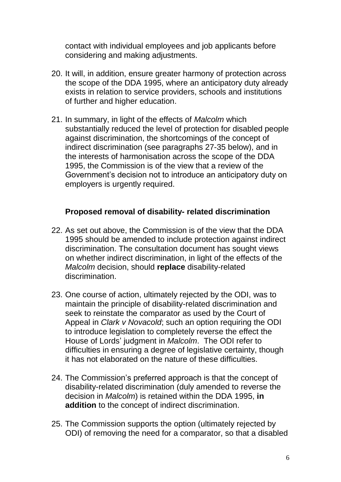contact with individual employees and job applicants before considering and making adjustments.

- 20. It will, in addition, ensure greater harmony of protection across the scope of the DDA 1995, where an anticipatory duty already exists in relation to service providers, schools and institutions of further and higher education.
- 21. In summary, in light of the effects of *Malcolm* which substantially reduced the level of protection for disabled people against discrimination, the shortcomings of the concept of indirect discrimination (see paragraphs 27-35 below), and in the interests of harmonisation across the scope of the DDA 1995, the Commission is of the view that a review of the Government's decision not to introduce an anticipatory duty on employers is urgently required.

### **Proposed removal of disability- related discrimination**

- 22. As set out above, the Commission is of the view that the DDA 1995 should be amended to include protection against indirect discrimination. The consultation document has sought views on whether indirect discrimination, in light of the effects of the *Malcolm* decision, should **replace** disability-related discrimination.
- 23. One course of action, ultimately rejected by the ODI, was to maintain the principle of disability-related discrimination and seek to reinstate the comparator as used by the Court of Appeal in *Clark v Novacold*; such an option requiring the ODI to introduce legislation to completely reverse the effect the House of Lords' judgment in *Malcolm*. The ODI refer to difficulties in ensuring a degree of legislative certainty, though it has not elaborated on the nature of these difficulties.
- 24. The Commission's preferred approach is that the concept of disability-related discrimination (duly amended to reverse the decision in *Malcolm*) is retained within the DDA 1995, **in addition** to the concept of indirect discrimination.
- 25. The Commission supports the option (ultimately rejected by ODI) of removing the need for a comparator, so that a disabled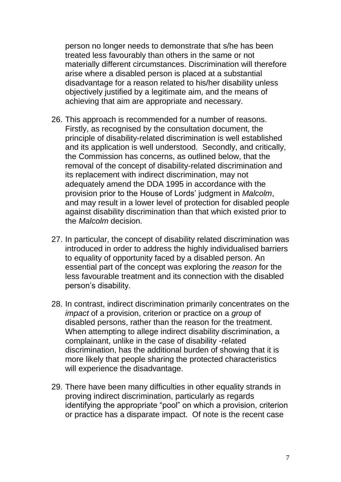person no longer needs to demonstrate that s/he has been treated less favourably than others in the same or not materially different circumstances. Discrimination will therefore arise where a disabled person is placed at a substantial disadvantage for a reason related to his/her disability unless objectively justified by a legitimate aim, and the means of achieving that aim are appropriate and necessary.

- 26. This approach is recommended for a number of reasons. Firstly, as recognised by the consultation document, the principle of disability-related discrimination is well established and its application is well understood. Secondly, and critically, the Commission has concerns, as outlined below, that the removal of the concept of disability-related discrimination and its replacement with indirect discrimination, may not adequately amend the DDA 1995 in accordance with the provision prior to the House of Lords' judgment in *Malcolm*, and may result in a lower level of protection for disabled people against disability discrimination than that which existed prior to the *Malcolm* decision.
- 27. In particular, the concept of disability related discrimination was introduced in order to address the highly individualised barriers to equality of opportunity faced by a disabled person. An essential part of the concept was exploring the *reason* for the less favourable treatment and its connection with the disabled person's disability.
- 28. In contrast, indirect discrimination primarily concentrates on the *impact* of a provision, criterion or practice on a *group* of disabled persons, rather than the reason for the treatment. When attempting to allege indirect disability discrimination, a complainant, unlike in the case of disability -related discrimination, has the additional burden of showing that it is more likely that people sharing the protected characteristics will experience the disadvantage.
- 29. There have been many difficulties in other equality strands in proving indirect discrimination, particularly as regards identifying the appropriate "pool" on which a provision, criterion or practice has a disparate impact. Of note is the recent case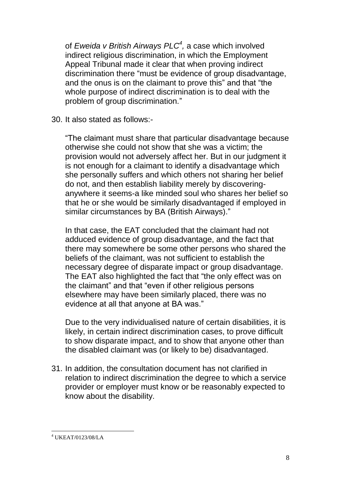of *Eweida v British Airways PLC<sup>4</sup> ,* a case which involved indirect religious discrimination, in which the Employment Appeal Tribunal made it clear that when proving indirect discrimination there "must be evidence of group disadvantage, and the onus is on the claimant to prove this" and that "the whole purpose of indirect discrimination is to deal with the problem of group discrimination."

30. It also stated as follows:-

"The claimant must share that particular disadvantage because otherwise she could not show that she was a victim; the provision would not adversely affect her. But in our judgment it is not enough for a claimant to identify a disadvantage which she personally suffers and which others not sharing her belief do not, and then establish liability merely by discoveringanywhere it seems-a like minded soul who shares her belief so that he or she would be similarly disadvantaged if employed in similar circumstances by BA (British Airways)."

In that case, the EAT concluded that the claimant had not adduced evidence of group disadvantage, and the fact that there may somewhere be some other persons who shared the beliefs of the claimant, was not sufficient to establish the necessary degree of disparate impact or group disadvantage. The EAT also highlighted the fact that "the only effect was on the claimant" and that "even if other religious persons elsewhere may have been similarly placed, there was no evidence at all that anyone at BA was."

Due to the very individualised nature of certain disabilities, it is likely, in certain indirect discrimination cases, to prove difficult to show disparate impact, and to show that anyone other than the disabled claimant was (or likely to be) disadvantaged.

31. In addition, the consultation document has not clarified in relation to indirect discrimination the degree to which a service provider or employer must know or be reasonably expected to know about the disability.

 $\overline{a}$ 

 $4$  UKEAT/0123/08/LA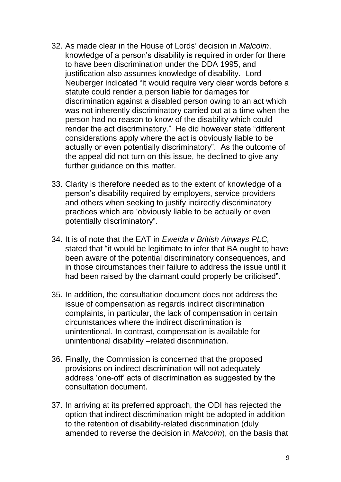- 32. As made clear in the House of Lords' decision in *Malcolm*, knowledge of a person's disability is required in order for there to have been discrimination under the DDA 1995, and justification also assumes knowledge of disability. Lord Neuberger indicated "it would require very clear words before a statute could render a person liable for damages for discrimination against a disabled person owing to an act which was not inherently discriminatory carried out at a time when the person had no reason to know of the disability which could render the act discriminatory." He did however state "different considerations apply where the act is obviously liable to be actually or even potentially discriminatory". As the outcome of the appeal did not turn on this issue, he declined to give any further guidance on this matter.
- 33. Clarity is therefore needed as to the extent of knowledge of a person's disability required by employers, service providers and others when seeking to justify indirectly discriminatory practices which are 'obviously liable to be actually or even potentially discriminatory".
- 34. It is of note that the EAT in *Eweida v British Airways PLC,*  stated that "it would be legitimate to infer that BA ought to have been aware of the potential discriminatory consequences, and in those circumstances their failure to address the issue until it had been raised by the claimant could properly be criticised".
- 35. In addition, the consultation document does not address the issue of compensation as regards indirect discrimination complaints, in particular, the lack of compensation in certain circumstances where the indirect discrimination is unintentional. In contrast, compensation is available for unintentional disability –related discrimination.
- 36. Finally, the Commission is concerned that the proposed provisions on indirect discrimination will not adequately address 'one-off' acts of discrimination as suggested by the consultation document.
- 37. In arriving at its preferred approach, the ODI has rejected the option that indirect discrimination might be adopted in addition to the retention of disability-related discrimination (duly amended to reverse the decision in *Malcolm*), on the basis that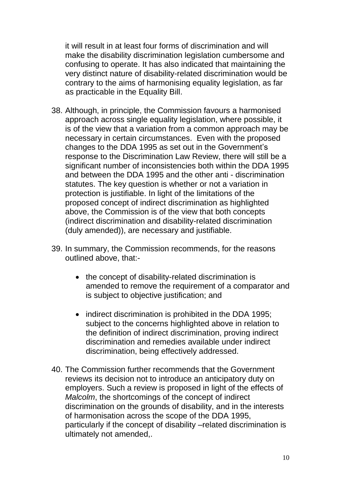it will result in at least four forms of discrimination and will make the disability discrimination legislation cumbersome and confusing to operate. It has also indicated that maintaining the very distinct nature of disability-related discrimination would be contrary to the aims of harmonising equality legislation, as far as practicable in the Equality Bill.

- 38. Although, in principle, the Commission favours a harmonised approach across single equality legislation, where possible, it is of the view that a variation from a common approach may be necessary in certain circumstances. Even with the proposed changes to the DDA 1995 as set out in the Government's response to the Discrimination Law Review, there will still be a significant number of inconsistencies both within the DDA 1995 and between the DDA 1995 and the other anti - discrimination statutes. The key question is whether or not a variation in protection is justifiable. In light of the limitations of the proposed concept of indirect discrimination as highlighted above, the Commission is of the view that both concepts (indirect discrimination and disability-related discrimination (duly amended)), are necessary and justifiable.
- 39. In summary, the Commission recommends, for the reasons outlined above, that:-
	- the concept of disability-related discrimination is amended to remove the requirement of a comparator and is subject to objective justification; and
	- indirect discrimination is prohibited in the DDA 1995; subject to the concerns highlighted above in relation to the definition of indirect discrimination, proving indirect discrimination and remedies available under indirect discrimination, being effectively addressed.
- 40. The Commission further recommends that the Government reviews its decision not to introduce an anticipatory duty on employers. Such a review is proposed in light of the effects of *Malcolm*, the shortcomings of the concept of indirect discrimination on the grounds of disability, and in the interests of harmonisation across the scope of the DDA 1995, particularly if the concept of disability –related discrimination is ultimately not amended,.